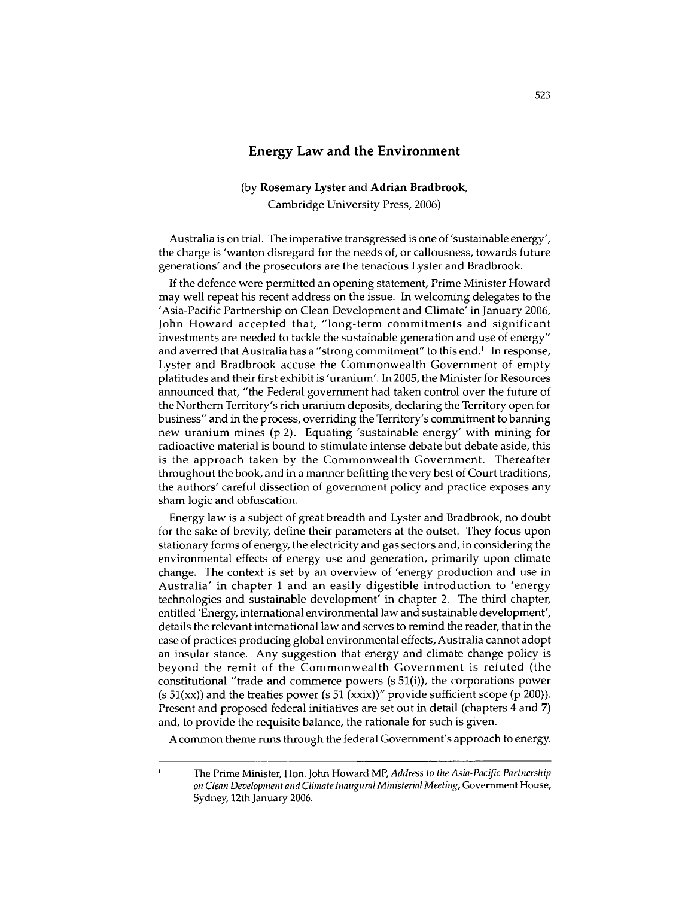## **Energy Law and the Environment**

## **(by Rosemary Lyster and Adrian Bradbrook, Cambridge** University Press, **2006)**

Australia is on trial. The imperative transgressed is one of 'sustainable energy', the charge is 'wanton disregard for the needs of, or callousness, towards future generations' and the prosecutors are the tenacious Lyster and Bradbrook.

If the defence were permitted an opening statement, Prime Minister Howard may well repeat his recent address on the issue. In welcoming delegates to the 'Asia-Pacific Partnership on Clean Development and Climate' in January 2006, John Howard accepted that, "long-term commitments and significant investments are needed to tackle the sustainable generation and use of energy" and averred that Australia has a "strong commitment" to this end.' In response, Lyster and Bradbrook accuse the Commonwealth Government of empty platitudes and their first exhibit is 'uranium'. In 2005, the Minister for Resources announced that, "the Federal government had taken control over the future of the Northern Territory's rich uranium deposits, declaring the Territory open for business" and in the process, overriding the Territory's commitment to banning new uranium mines (p 2). Equating 'sustainable energy' with mining for radioactive material is bound to stimulate intense debate but debate aside, this is the approach taken by the Commonwealth Government. Thereafter throughout the book, and in a manner befitting the very best of Court traditions, the authors' careful dissection of government policy and practice exposes any sham logic and obfuscation.

Energy law is a subject of great breadth and Lyster and Bradbrook, no doubt for the sake of brevity, define their parameters at the outset. They focus upon stationary forms of energy, the electricity and gas sectors and, in considering the environmental effects of energy use and generation, primarily upon climate change. The context is set by an overview of 'energy production and use in Australia' in chapter 1 and an easily digestible introduction to 'energy technologies and sustainable development' in chapter 2. The third chapter, entitled 'Energy, international environmental law and sustainable development', details the relevant international law and serves to remind the reader, that in the case of practices producing global environmental effects, Australia cannot adopt an insular stance. Any suggestion that energy and climate change policy is beyond the remit of the Commonwealth Government is refuted (the constitutional "trade and commerce powers (s 51(i)), the corporations power  $(s 51(xx))$  and the treaties power  $(s 51(xx))''$  provide sufficient scope  $(p 200)$ . Present and proposed federal initiatives are set out in detail (chapters 4 and 7) and, to provide the requisite balance, the rationale for such is given.

A common theme runs through the federal Government's approach to energy.

 $\mathbf{I}$ 

The Prime Minister, Hon. John Howard MP, *Address to the Asia-Pacific Partnership on Clean Development and Climate Inaugural Ministerial Meeting,* Government House, Sydney, 12th January 2006.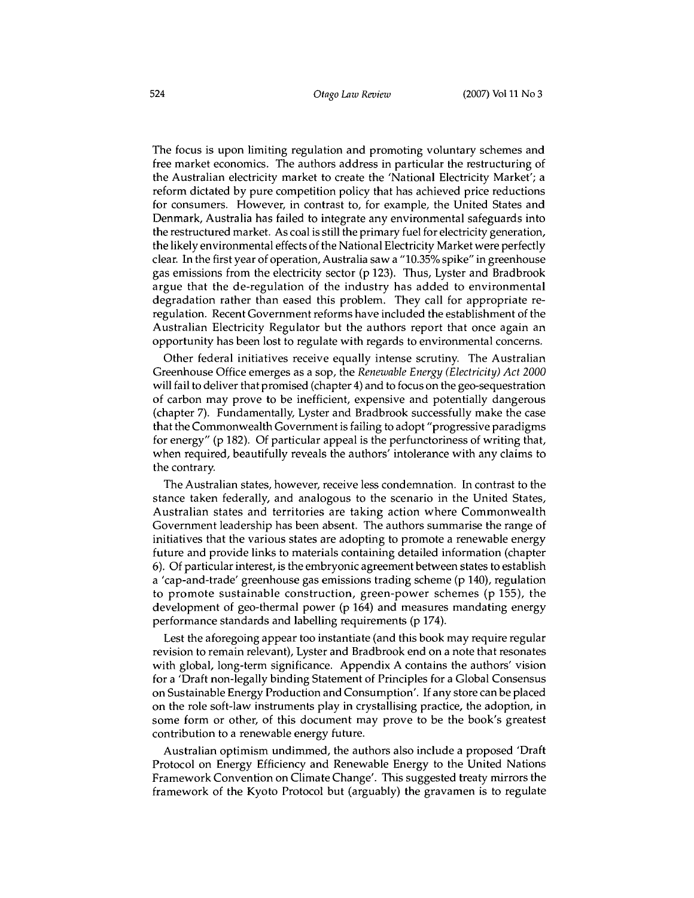The focus is upon limiting regulation and promoting voluntary schemes and free market economics. The authors address in particular the restructuring of the Australian electricity market to create the 'National Electricity Market'; a reform dictated by pure competition policy that has achieved price reductions for consumers. However, in contrast to, for example, the United States and Denmark, Australia has failed to integrate any environmental safeguards into the restructured market. As coal is still the primary fuel for electricity generation, the likely environmental effects of the National Electricity Market were perfectly clear. In the first year of operation, Australia saw a "10.35% spike" in greenhouse gas emissions from the electricity sector (p 123). Thus, Lyster and Bradbrook argue that the de-regulation of the industry has added to environmental degradation rather than eased this problem. They call for appropriate reregulation. Recent Government reforms have included the establishment of the Australian Electricity Regulator but the authors report that once again an opportunity has been lost to regulate with regards to environmental concerns.

Other federal initiatives receive equally intense scrutiny. The Australian Greenhouse Office emerges as a sop, the *Renewable Energy (Electricity) Act 2000* will fail to deliver that promised (chapter 4) and to focus on the geo-sequestration of carbon may prove to be inefficient, expensive and potentially dangerous (chapter 7). Fundamentally, Lyster and Bradbrook successfully make the case that the Commonwealth Government is failing to adopt "progressive paradigms for energy" (p 182). Of particular appeal is the perfunctoriness of writing that, when required, beautifully reveals the authors' intolerance with any claims to the contrary.

The Australian states, however, receive less condemnation. In contrast to the stance taken federally, and analogous to the scenario in the United States, Australian states and territories are taking action where Commonwealth Government leadership has been absent. The authors summarise the range of initiatives that the various states are adopting to promote a renewable energy future and provide links to materials containing detailed information (chapter 6). Of particular interest, is the embryonic agreement between states to establish a 'cap-and-trade' greenhouse gas emissions trading scheme (p 140), regulation to promote sustainable construction, green-power schemes (p 155), the development of geo-thermal power (p 164) and measures mandating energy performance standards and labelling requirements (p 174).

Lest the aforegoing appear too instantiate (and this book may require regular revision to remain relevant), Lyster and Bradbrook end on a note that resonates with global, long-term significance. Appendix A contains the authors' vision for a 'Draft non-legally binding Statement of Principles for a Global Consensus on Sustainable Energy Production and Consumption'. If any store can be placed on the role soft-law instruments play in crystallising practice, the adoption, in some form or other, of this document may prove to be the book's greatest contribution to a renewable energy future.

Australian optimism undimmed, the authors also include a proposed 'Draft Protocol on Energy Efficiency and Renewable Energy to the United Nations Framework Convention on Climate Change'. This suggested treaty mirrors the framework of the Kyoto Protocol but (arguably) the gravamen is to regulate